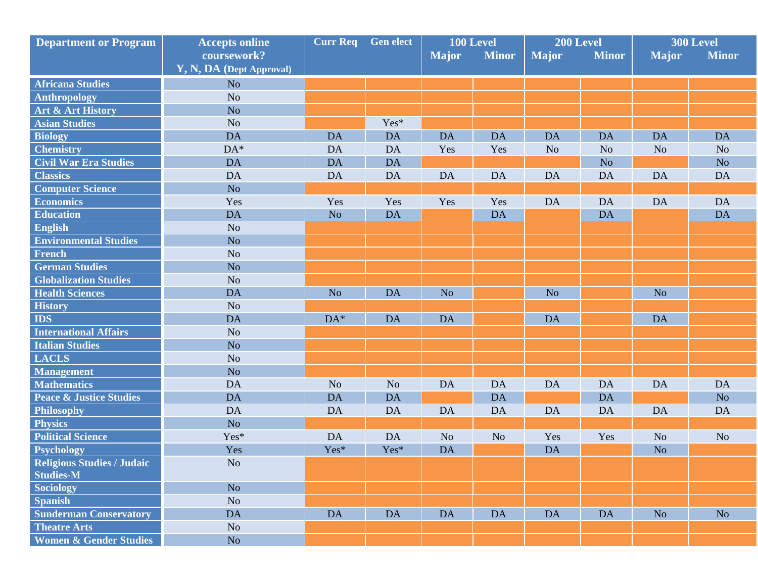| <b>Department or Program</b>                   | <b>Accepts online</b>    | <b>Gen elect</b><br><b>Curr Req</b> |                | 100 Level      |                | 200 Level      |                | 300 Level      |                |
|------------------------------------------------|--------------------------|-------------------------------------|----------------|----------------|----------------|----------------|----------------|----------------|----------------|
|                                                | coursework?              |                                     |                | <b>Major</b>   | <b>Minor</b>   | <b>Major</b>   | <b>Minor</b>   | <b>Major</b>   | <b>Minor</b>   |
|                                                | Y, N, DA (Dept Approval) |                                     |                |                |                |                |                |                |                |
| <b>Africana Studies</b>                        | N <sub>o</sub>           |                                     |                |                |                |                |                |                |                |
| <b>Anthropology</b>                            | N <sub>o</sub>           |                                     |                |                |                |                |                |                |                |
| Art & Art History                              | N <sub>o</sub>           |                                     |                |                |                |                |                |                |                |
| <b>Asian Studies</b>                           | N <sub>o</sub>           |                                     | Yes*           |                |                |                |                |                |                |
| <b>Biology</b>                                 | DA                       | <b>DA</b>                           | <b>DA</b>      | <b>DA</b>      | <b>DA</b>      | <b>DA</b>      | <b>DA</b>      | <b>DA</b>      | <b>DA</b>      |
| <b>Chemistry</b>                               | $DA*$                    | DA                                  | <b>DA</b>      | Yes            | Yes            | N <sub>o</sub> | N <sub>o</sub> | N <sub>o</sub> | N <sub>o</sub> |
| <b>Civil War Era Studies</b>                   | <b>DA</b>                | <b>DA</b>                           | <b>DA</b>      |                |                |                | N <sub>o</sub> |                | No             |
| <b>Classics</b>                                | DA                       | DA                                  | DA             | <b>DA</b>      | DA             | <b>DA</b>      | <b>DA</b>      | <b>DA</b>      | <b>DA</b>      |
| <b>Computer Science</b>                        | N <sub>o</sub>           |                                     |                |                |                |                |                |                |                |
| <b>Economics</b>                               | Yes                      | Yes                                 | Yes            | Yes            | Yes            | <b>DA</b>      | DA             | <b>DA</b>      | <b>DA</b>      |
| <b>Education</b>                               | DA                       | N <sub>o</sub>                      | <b>DA</b>      |                | <b>DA</b>      |                | <b>DA</b>      |                | <b>DA</b>      |
| <b>English</b>                                 | N <sub>o</sub>           |                                     |                |                |                |                |                |                |                |
| <b>Environmental Studies</b>                   | N <sub>o</sub>           |                                     |                |                |                |                |                |                |                |
| <b>French</b>                                  | N <sub>o</sub>           |                                     |                |                |                |                |                |                |                |
| <b>German Studies</b>                          | N <sub>o</sub>           |                                     |                |                |                |                |                |                |                |
| <b>Globalization Studies</b>                   | N <sub>o</sub>           |                                     |                |                |                |                |                |                |                |
| <b>Health Sciences</b>                         | <b>DA</b>                | N <sub>o</sub>                      | <b>DA</b>      | N <sub>o</sub> |                | N <sub>o</sub> |                | N <sub>o</sub> |                |
| <b>History</b>                                 | N <sub>o</sub>           |                                     |                |                |                |                |                |                |                |
| <b>IDS</b>                                     | DA                       | $DA*$                               | <b>DA</b>      | <b>DA</b>      |                | <b>DA</b>      |                | <b>DA</b>      |                |
| <b>International Affairs</b>                   | N <sub>o</sub>           |                                     |                |                |                |                |                |                |                |
| <b>Italian Studies</b>                         | N <sub>o</sub>           |                                     |                |                |                |                |                |                |                |
| <b>LACLS</b>                                   | N <sub>o</sub>           |                                     |                |                |                |                |                |                |                |
| <b>Management</b>                              | N <sub>o</sub>           |                                     |                |                |                |                |                |                |                |
| <b>Mathematics</b>                             | DA                       | N <sub>o</sub>                      | N <sub>o</sub> | <b>DA</b>      | <b>DA</b>      | <b>DA</b>      | <b>DA</b>      | <b>DA</b>      | <b>DA</b>      |
| <b>Peace &amp; Justice Studies</b>             | <b>DA</b>                | <b>DA</b>                           | <b>DA</b>      |                | <b>DA</b>      |                | <b>DA</b>      |                | N <sub>o</sub> |
| Philosophy                                     | <b>DA</b>                | <b>DA</b>                           | DA             | <b>DA</b>      | DA             | <b>DA</b>      | DA             | <b>DA</b>      | DA             |
| <b>Physics</b>                                 | N <sub>o</sub>           |                                     |                |                |                |                |                |                |                |
| <b>Political Science</b>                       | Yes*                     | <b>DA</b>                           | <b>DA</b>      | N <sub>o</sub> | N <sub>o</sub> | Yes            | Yes            | N <sub>o</sub> | N <sub>o</sub> |
| Psychology                                     | Yes                      | Yes*                                | Yes*           | <b>DA</b>      |                | <b>DA</b>      |                | N <sub>o</sub> |                |
| Religious Studies / Judaic<br><b>Studies-M</b> | N <sub>o</sub>           |                                     |                |                |                |                |                |                |                |
| Sociology                                      | No                       |                                     |                |                |                |                |                |                |                |
| <b>Spanish</b>                                 | N <sub>o</sub>           |                                     |                |                |                |                |                |                |                |
| <b>Sunderman Conservatory</b>                  | <b>DA</b>                | <b>DA</b>                           | <b>DA</b>      | <b>DA</b>      | <b>DA</b>      | <b>DA</b>      | <b>DA</b>      | No.            | No.            |
| <b>Theatre Arts</b>                            | N <sub>o</sub>           |                                     |                |                |                |                |                |                |                |
| <b>Women &amp; Gender Studies</b>              | No                       |                                     |                |                |                |                |                |                |                |